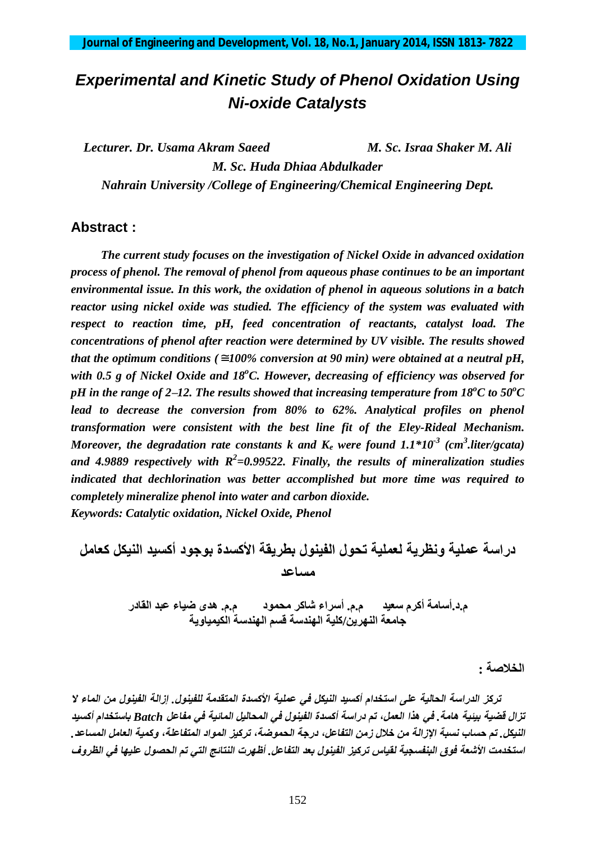# *Experimental and Kinetic Study of Phenol Oxidation Using Ni-oxide Catalysts*

*Lecturer. Dr. Usama Akram Saeed M. Sc. Israa Shaker M. Ali M. Sc. Huda Dhiaa Abdulkader Nahrain University /College of Engineering/Chemical Engineering Dept.*

## **Abstract :**

 *The current study focuses on the investigation of Nickel Oxide in advanced oxidation process of phenol. The removal of phenol from aqueous phase continues to be an important environmental issue. In this work, the oxidation of phenol in aqueous solutions in a batch reactor using nickel oxide was studied. The efficiency of the system was evaluated with respect to reaction time, pH, feed concentration of reactants, catalyst load. The concentrations of phenol after reaction were determined by UV visible. The results showed that the optimum conditions* ( $\approx$  *100% conversion at 90 min) were obtained at a neutral pH, with 0.5 g of Nickel Oxide and 18<sup>o</sup>C. However, decreasing of efficiency was observed for pH* in the range of 2–12. The results showed that increasing temperature from  $18^{\circ}$ C to  $50^{\circ}$ C *lead to decrease the conversion from 80% to 62%. Analytical profiles on phenol transformation were consistent with the best line fit of the Eley-Rideal Mechanism. Moreover, the degradation rate constants k and K<sup>e</sup> were found 1.1\*10-3 (cm<sup>3</sup> .liter/gcata) and 4.9889 respectively with R<sup>2</sup> =0.99522. Finally, the results of mineralization studies indicated that dechlorination was better accomplished but more time was required to completely mineralize phenol into water and carbon dioxide. Keywords: Catalytic oxidation, Nickel Oxide, Phenol*

**دراسة عملیة ونظریة لعملیة تحول الفینول بطریقة الأكسدة بوجود أكسید النیكل كعامل مساعد** 

م.د.أسامة أكرم سعيد م.م. أسراء شاكر محمود م.م. هدى ضياء عبد القادر **جامعة النھرین/كلیة الھندسة قسم الھندسة الكیمیاویة** 

**الخلاصة :**

تركز الدراسة الحالية على استخدام أكسيد النيكل في عملية الأكسدة المتقدمة للفينول. ازالة الفينول من الماء لا تزال قضية بيئية هامة. في هذا العمل، تم دراسة أكسدة الفينول في المحاليل المائية في مفاعل Batch باستخدام أكسيد النبكل . تم حساب نسبة الإزالة من خلال زمن التفاعل، درجة الحموضة، تركيز المواد المتفاعلة، وكمبة العامل المساعد . استخدمت الأشعة فوق البنفسجية لقياس تركيز الفينول بعد التفاعل. أظهرت النتائج التي تم الحصول عليها في الظروف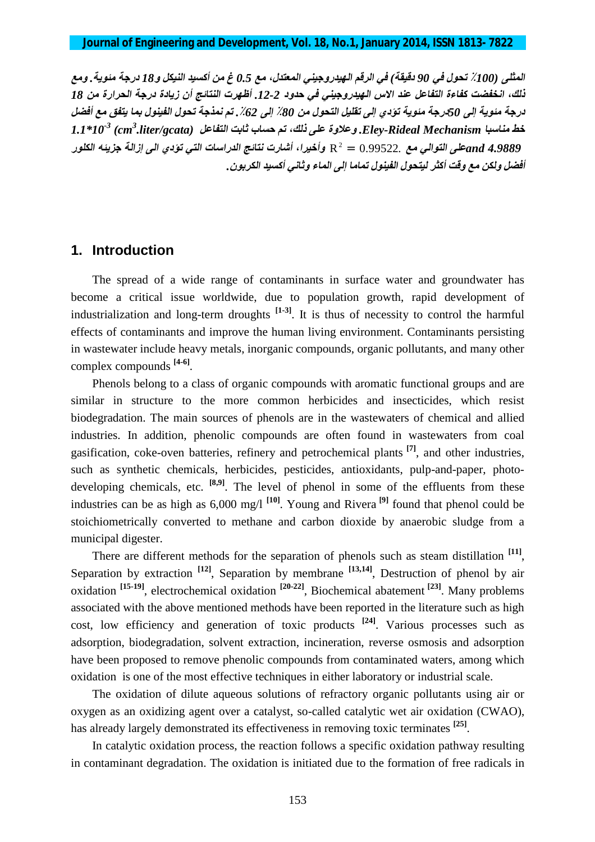المثلي (100٪ تحول في 90 دقيقة) في الرقم الهيدروجيني المعتدل، مع 0.5 غ من أكسيد النيكل و18 درجة مئوية . ومع ذلك، انخفضت كفاءة التفاعل عند الاس الهيدروجيني في حدود 2-12. أظهرت النتائج أن زيادة درجة الحرارة من 18 درجة مئوية إلى 50درجة مئوية تؤدي إلى تقليل التحول من 80٪ إلى 62٪. تم نمذجة تحول الفينول بما يتفق مع أفضل *خط مناسبا Mechanism Rideal-Eley. وعلاوة على ذلك، تم حساب ثابت التفاعل 10\*1.1 -3 (cm<sup>3</sup> .liter/gcata)*  <sup>2</sup> *4.9889 andعلى التوالي مع* 0.99522. = R *وأخیرا، أشارت نتائج الدراسات التي تؤدي الى إزالة جزیئھ الكلور أفضل ولكن مع وقت أكثر لیتحول الفینول تماما إلى الماء وثاني أكسید الكربون.* 

#### **1. Introduction**

The spread of a wide range of contaminants in surface water and groundwater has become a critical issue worldwide, due to population growth, rapid development of industrialization and long-term droughts **[1-3]** . It is thus of necessity to control the harmful effects of contaminants and improve the human living environment. Contaminants persisting in wastewater include heavy metals, inorganic compounds, organic pollutants, and many other complex compounds **[4-6]** .

Phenols belong to a class of organic compounds with aromatic functional groups and are similar in structure to the more common herbicides and insecticides, which resist biodegradation. The main sources of phenols are in the wastewaters of chemical and allied industries. In addition, phenolic compounds are often found in wastewaters from coal gasification, coke-oven batteries, refinery and petrochemical plants **[7]** , and other industries, such as synthetic chemicals, herbicides, pesticides, antioxidants, pulp-and-paper, photodeveloping chemicals, etc. <sup>[8,9]</sup>. The level of phenol in some of the effluents from these industries can be as high as 6,000 mg/l **[10]** . Young and Rivera **[9]** found that phenol could be stoichiometrically converted to methane and carbon dioxide by anaerobic sludge from a municipal digester.

There are different methods for the separation of phenols such as steam distillation <sup>[11]</sup>, Separation by extraction <sup>[12]</sup>, Separation by membrane <sup>[13,14]</sup>, Destruction of phenol by air oxidation **[15-19]** , electrochemical oxidation **[20-22]** , Biochemical abatement **[23]** . Many problems associated with the above mentioned methods have been reported in the literature such as high cost, low efficiency and generation of toxic products **[24]** . Various processes such as adsorption, biodegradation, solvent extraction, incineration, reverse osmosis and adsorption have been proposed to remove phenolic compounds from contaminated waters, among which oxidation is one of the most effective techniques in either laboratory or industrial scale.

The oxidation of dilute aqueous solutions of refractory organic pollutants using air or oxygen as an oxidizing agent over a catalyst, so-called catalytic wet air oxidation (CWAO), has already largely demonstrated its effectiveness in removing toxic terminates **[25]** .

In catalytic oxidation process, the reaction follows a specific oxidation pathway resulting in contaminant degradation. The oxidation is initiated due to the formation of free radicals in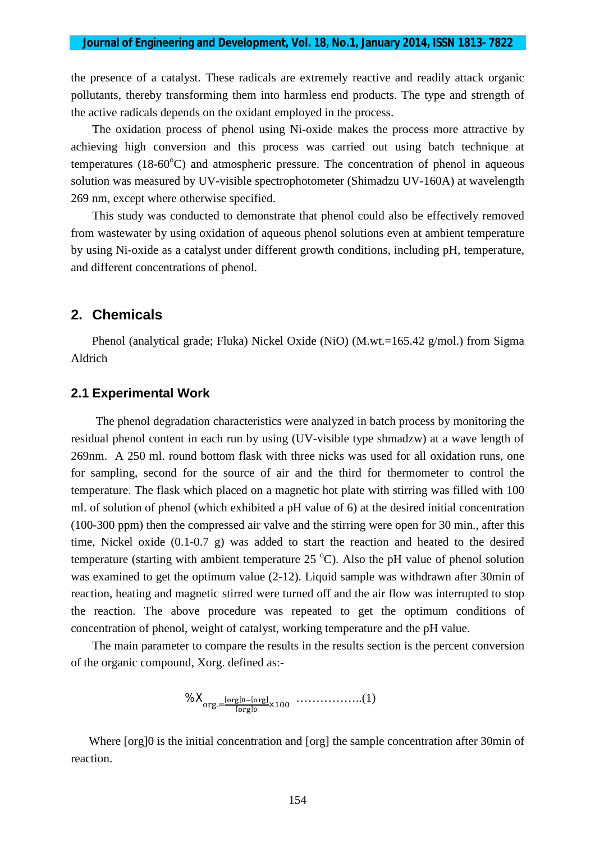the presence of a catalyst. These radicals are extremely reactive and readily attack organic pollutants, thereby transforming them into harmless end products. The type and strength of the active radicals depends on the oxidant employed in the process.

The oxidation process of phenol using Ni-oxide makes the process more attractive by achieving high conversion and this process was carried out using batch technique at temperatures  $(18-60^{\circ}\text{C})$  and atmospheric pressure. The concentration of phenol in aqueous solution was measured by UV-visible spectrophotometer (Shimadzu UV-160A) at wavelength 269 nm, except where otherwise specified.

This study was conducted to demonstrate that phenol could also be effectively removed from wastewater by using oxidation of aqueous phenol solutions even at ambient temperature by using Ni-oxide as a catalyst under different growth conditions, including pH, temperature, and different concentrations of phenol.

#### **2. Chemicals**

 Phenol (analytical grade; Fluka) Nickel Oxide (NiO) (M.wt.=165.42 g/mol.) from Sigma Aldrich

#### **2.1 Experimental Work**

The phenol degradation characteristics were analyzed in batch process by monitoring the residual phenol content in each run by using (UV-visible type shmadzw) at a wave length of 269nm. A 250 ml. round bottom flask with three nicks was used for all oxidation runs, one for sampling, second for the source of air and the third for thermometer to control the temperature. The flask which placed on a magnetic hot plate with stirring was filled with 100 ml. of solution of phenol (which exhibited a pH value of 6) at the desired initial concentration (100-300 ppm) then the compressed air valve and the stirring were open for 30 min., after this time, Nickel oxide (0.1-0.7 g) was added to start the reaction and heated to the desired temperature (starting with ambient temperature  $25^{\circ}$ C). Also the pH value of phenol solution was examined to get the optimum value (2-12). Liquid sample was withdrawn after 30min of reaction, heating and magnetic stirred were turned off and the air flow was interrupted to stop the reaction. The above procedure was repeated to get the optimum conditions of concentration of phenol, weight of catalyst, working temperature and the pH value.

The main parameter to compare the results in the results section is the percent conversion of the organic compound, Xorg. defined as:-

$$
\% \mathbf{X}_{\text{org.}=\frac{[\text{org}]_0 - [\text{org}]}{[\text{org}]_0} \times 100} \quad \dots \quad \dots \quad \dots \quad (1)
$$

Where [org]0 is the initial concentration and [org] the sample concentration after 30min of reaction.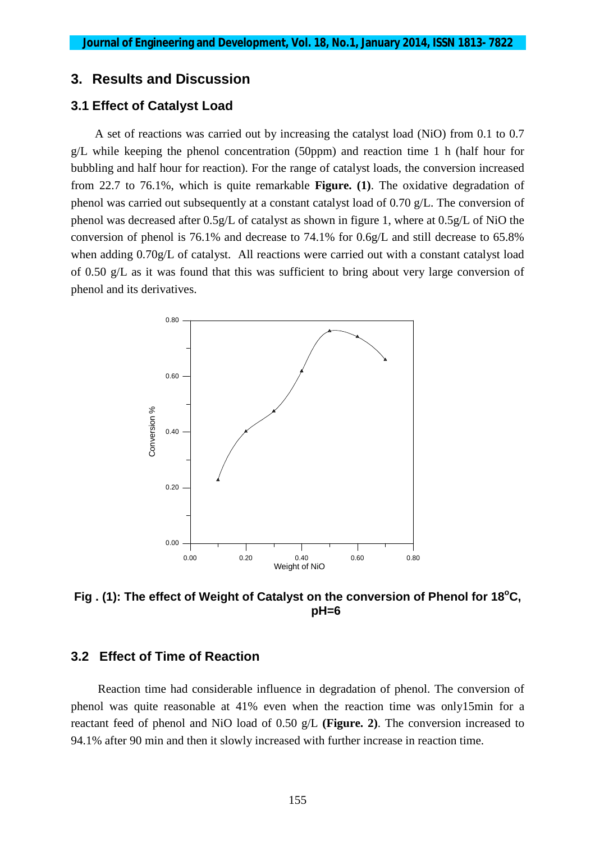# **3. Results and Discussion**

#### **3.1 Effect of Catalyst Load**

 A set of reactions was carried out by increasing the catalyst load (NiO) from 0.1 to 0.7  $g/L$  while keeping the phenol concentration (50ppm) and reaction time 1 h (half hour for bubbling and half hour for reaction). For the range of catalyst loads, the conversion increased from 22.7 to 76.1%, which is quite remarkable **Figure. (1)**. The oxidative degradation of phenol was carried out subsequently at a constant catalyst load of 0.70 g/L. The conversion of phenol was decreased after 0.5g/L of catalyst as shown in figure 1, where at 0.5g/L of NiO the conversion of phenol is 76.1% and decrease to 74.1% for 0.6g/L and still decrease to 65.8% when adding 0.70g/L of catalyst. All reactions were carried out with a constant catalyst load of 0.50 g/L as it was found that this was sufficient to bring about very large conversion of phenol and its derivatives.



**Fig . (1): The effect of Weight of Catalyst on the conversion of Phenol for 18<sup>o</sup>C, pH=6**

# **3.2 Effect of Time of Reaction**

 Reaction time had considerable influence in degradation of phenol. The conversion of phenol was quite reasonable at 41% even when the reaction time was only15min for a reactant feed of phenol and NiO load of 0.50 g/L **(Figure. 2)**. The conversion increased to 94.1% after 90 min and then it slowly increased with further increase in reaction time.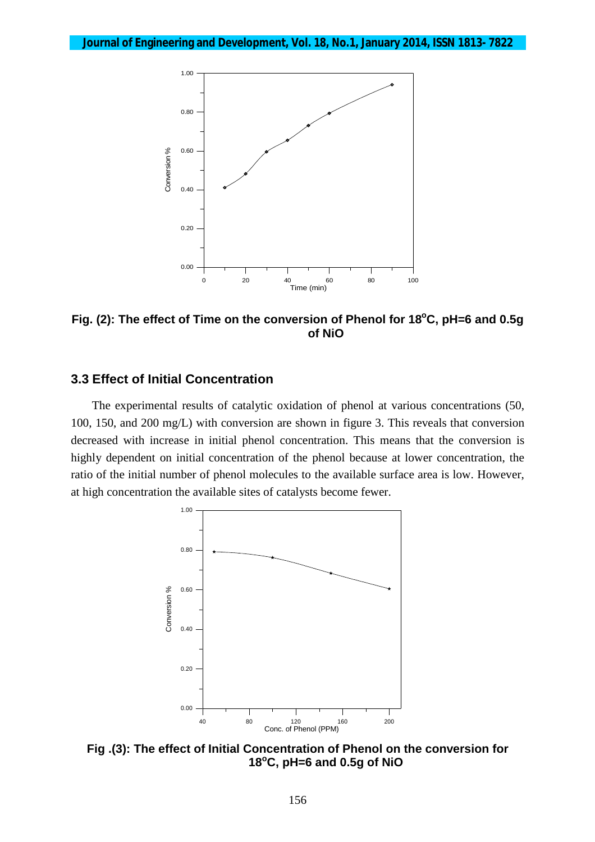

**Fig. (2): The effect of Time on the conversion of Phenol for 18<sup>o</sup>C, pH=6 and 0.5g of NiO**

#### **3.3 Effect of Initial Concentration**

 The experimental results of catalytic oxidation of phenol at various concentrations (50, 100, 150, and 200 mg/L) with conversion are shown in figure 3. This reveals that conversion decreased with increase in initial phenol concentration. This means that the conversion is highly dependent on initial concentration of the phenol because at lower concentration, the ratio of the initial number of phenol molecules to the available surface area is low. However, at high concentration the available sites of catalysts become fewer.



**Fig .(3): The effect of Initial Concentration of Phenol on the conversion for 18<sup>o</sup>C, pH=6 and 0.5g of NiO**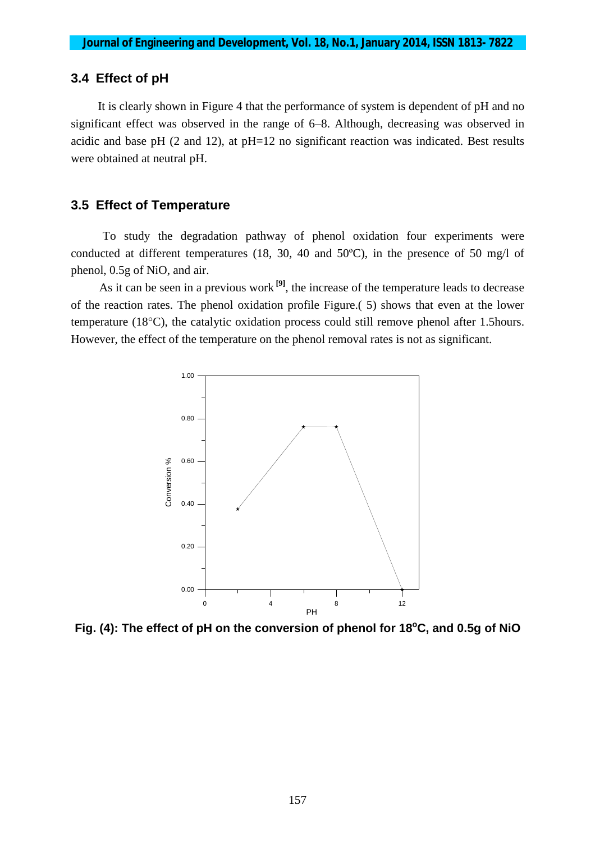## **3.4 Effect of pH**

 It is clearly shown in Figure 4 that the performance of system is dependent of pH and no significant effect was observed in the range of 6–8. Although, decreasing was observed in acidic and base pH  $(2 \text{ and } 12)$ , at pH=12 no significant reaction was indicated. Best results were obtained at neutral pH.

#### **3.5 Effect of Temperature**

To study the degradation pathway of phenol oxidation four experiments were conducted at different temperatures (18, 30, 40 and 50ºC), in the presence of 50 mg/l of phenol, 0.5g of NiO, and air.

As it can be seen in a previous work **[9]** , the increase of the temperature leads to decrease of the reaction rates. The phenol oxidation profile Figure.( 5) shows that even at the lower temperature (18°C), the catalytic oxidation process could still remove phenol after 1.5hours. However, the effect of the temperature on the phenol removal rates is not as significant.



**Fig. (4): The effect of pH on the conversion of phenol for 18<sup>o</sup>C, and 0.5g of NiO**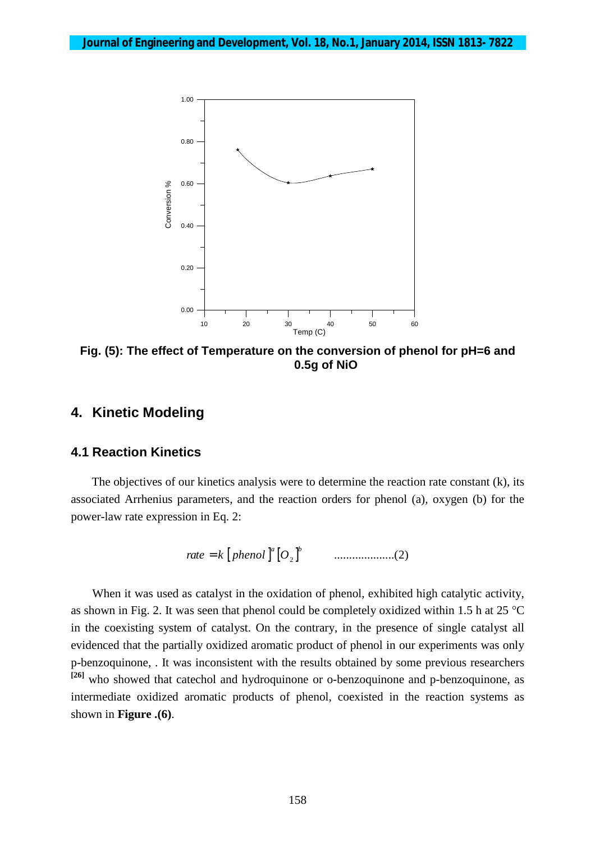

**Fig. (5): The effect of Temperature on the conversion of phenol for pH=6 and 0.5g of NiO**

# **4. Kinetic Modeling**

#### **4.1 Reaction Kinetics**

 The objectives of our kinetics analysis were to determine the reaction rate constant (k), its associated Arrhenius parameters, and the reaction orders for phenol (a)*,* oxygen (b) for the power-law rate expression in Eq. 2:

$$
rate = k [phenol ]^{a} [O_{2}]^{b}
$$
 ................(2)

When it was used as catalyst in the oxidation of phenol, exhibited high catalytic activity, as shown in Fig. 2. It was seen that phenol could be completely oxidized within 1.5 h at 25 °C in the coexisting system of catalyst. On the contrary, in the presence of single catalyst all evidenced that the partially oxidized aromatic product of phenol in our experiments was only p-benzoquinone, . It was inconsistent with the results obtained by some previous researchers **[26]** who showed that catechol and hydroquinone or o-benzoquinone and p-benzoquinone, as intermediate oxidized aromatic products of phenol, coexisted in the reaction systems as shown in **Figure .(6)**.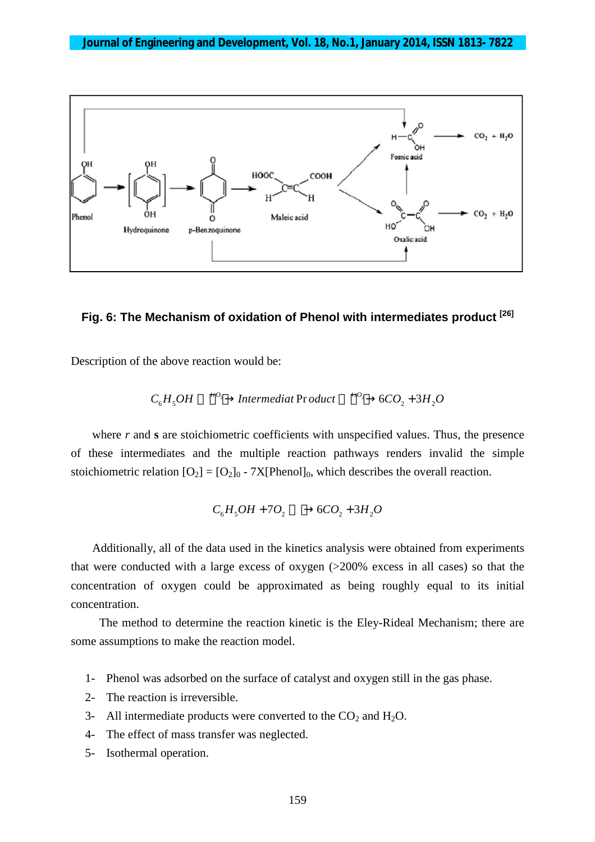

#### **Fig. 6: The Mechanism of oxidation of Phenol with intermediates product [26]**

Description of the above reaction would be:

$$
C_6H_5OH \xrightarrow{+rO_2} Intermediat \text{Pr} oduct \xrightarrow{+sO_2} + 6CO_2 + 3H_2O
$$

where *r* and **s** are stoichiometric coefficients with unspecified values. Thus, the presence of these intermediates and the multiple reaction pathways renders invalid the simple stoichiometric relation  $[O_2] = [O_2]_0$  - 7X[Phenol]<sub>0</sub>, which describes the overall reaction.

$$
C_6H_5OH + 7O_2 \longrightarrow 6CO_2 + 3H_2O
$$

Additionally, all of the data used in the kinetics analysis were obtained from experiments that were conducted with a large excess of oxygen (>200% excess in all cases) so that the concentration of oxygen could be approximated as being roughly equal to its initial concentration.

The method to determine the reaction kinetic is the Eley-Rideal Mechanism; there are some assumptions to make the reaction model.

- 1- Phenol was adsorbed on the surface of catalyst and oxygen still in the gas phase.
- 2- The reaction is irreversible.
- 3- All intermediate products were converted to the  $CO<sub>2</sub>$  and  $H<sub>2</sub>O$ .
- 4- The effect of mass transfer was neglected.
- 5- Isothermal operation.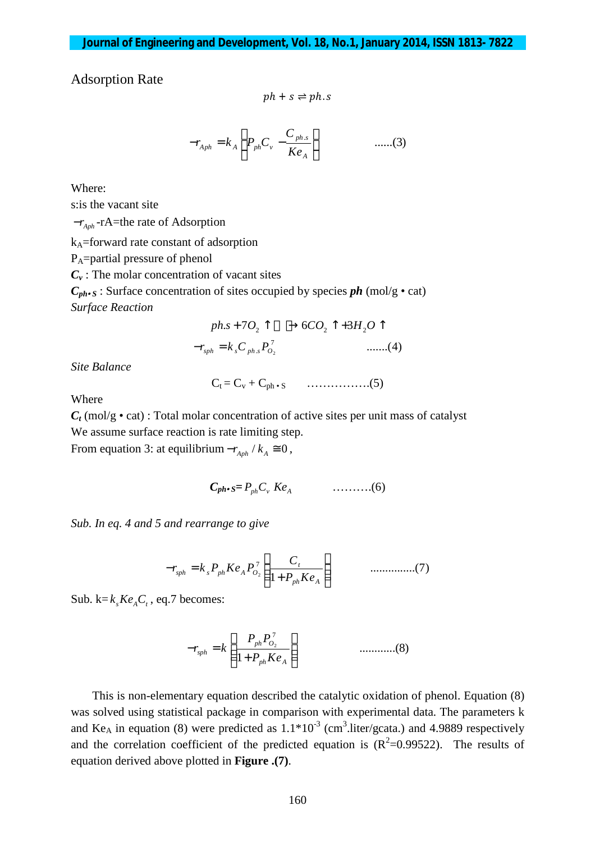Adsorption Rate

$$
ph+s \rightleftharpoons ph.s
$$

$$
-r_{Aph} = k_A \left( P_{ph} C_v - \frac{C_{ph.s}}{K e_A} \right) \qquad \qquad \dots (3)
$$

Where: s:is the vacant site *-r*<sub>*Aph</sub>* −*r***A**=the rate of Adsorption</sub> kA=forward rate constant of adsorption

PA=partial pressure of phenol

 $C_v$ : The molar concentration of vacant sites

 $C_{ph}$ **c**<sub>s</sub>: Surface concentration of sites occupied by species *ph* (mol/g • cat) *Surface Reaction*

$$
ph.s + 7O_2 \uparrow \longrightarrow 6CO_2 \uparrow + 3H_2 O \uparrow
$$
  
-r<sub>sph</sub> = k<sub>s</sub>C<sub>ph.s</sub>P<sub>0<sub>2</sub></sub><sup>7</sup> .......(4)

*Site Balance*

$$
C_t = C_v + C_{ph \cdot s} \qquad \qquad \ldots \ldots \ldots \ldots \ldots (5)
$$

Where

 $C_t$  (mol/g • cat) : Total molar concentration of active sites per unit mass of catalyst We assume surface reaction is rate limiting step.

From equation 3: at equilibrium  $-r_{A}$  /  $k_A \approx 0$ ,

$$
C_{ph \bullet S} = P_{ph} C_v K e_A \qquad \qquad \ldots \ldots \ldots \ldots (6)
$$

*Sub. In eq. 4 and 5 and rearrange to give*

$$
-r_{sph} = k_s P_{ph} K e_A P_{O_2}^7 \left( \frac{C_t}{1 + P_{ph} K e_A} \right) \qquad \qquad \dots \dots \dots \dots \dots \dots \dots \tag{7}
$$

Sub.  $k = k_s K e_A C_t$ , eq.7 becomes:

$$
-r_{sph} = k \left( \frac{P_{ph} P_{O_2}^7}{1 + P_{ph} K e_A} \right) \qquad \qquad \dots \dots \dots \dots (8)
$$

This is non-elementary equation described the catalytic oxidation of phenol. Equation (8) was solved using statistical package in comparison with experimental data. The parameters k and Ke<sub>A</sub> in equation (8) were predicted as  $1.1*10<sup>-3</sup>$  (cm<sup>3</sup>.liter/gcata.) and 4.9889 respectively and the correlation coefficient of the predicted equation is  $(R^2=0.99522)$ . The results of equation derived above plotted in **Figure .(7)**.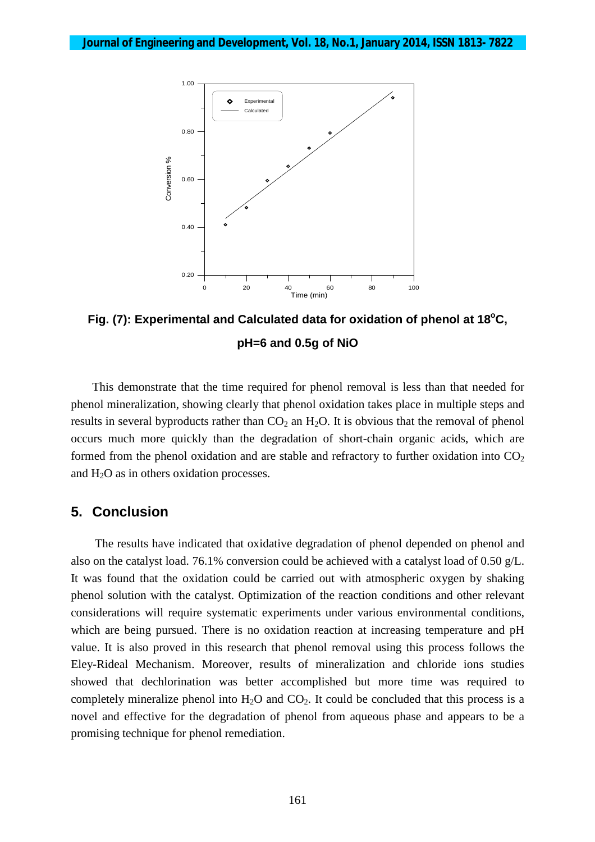

**Fig. (7): Experimental and Calculated data for oxidation of phenol at 18<sup>o</sup>C, pH=6 and 0.5g of NiO**

This demonstrate that the time required for phenol removal is less than that needed for phenol mineralization, showing clearly that phenol oxidation takes place in multiple steps and results in several byproducts rather than  $CO<sub>2</sub>$  an  $H<sub>2</sub>O$ . It is obvious that the removal of phenol occurs much more quickly than the degradation of short-chain organic acids, which are formed from the phenol oxidation and are stable and refractory to further oxidation into  $CO<sub>2</sub>$ and H2O as in others oxidation processes.

#### **5. Conclusion**

 The results have indicated that oxidative degradation of phenol depended on phenol and also on the catalyst load. 76.1% conversion could be achieved with a catalyst load of 0.50 g/L. It was found that the oxidation could be carried out with atmospheric oxygen by shaking phenol solution with the catalyst. Optimization of the reaction conditions and other relevant considerations will require systematic experiments under various environmental conditions, which are being pursued. There is no oxidation reaction at increasing temperature and pH value. It is also proved in this research that phenol removal using this process follows the Eley-Rideal Mechanism. Moreover, results of mineralization and chloride ions studies showed that dechlorination was better accomplished but more time was required to completely mineralize phenol into  $H_2O$  and  $CO_2$ . It could be concluded that this process is a novel and effective for the degradation of phenol from aqueous phase and appears to be a promising technique for phenol remediation.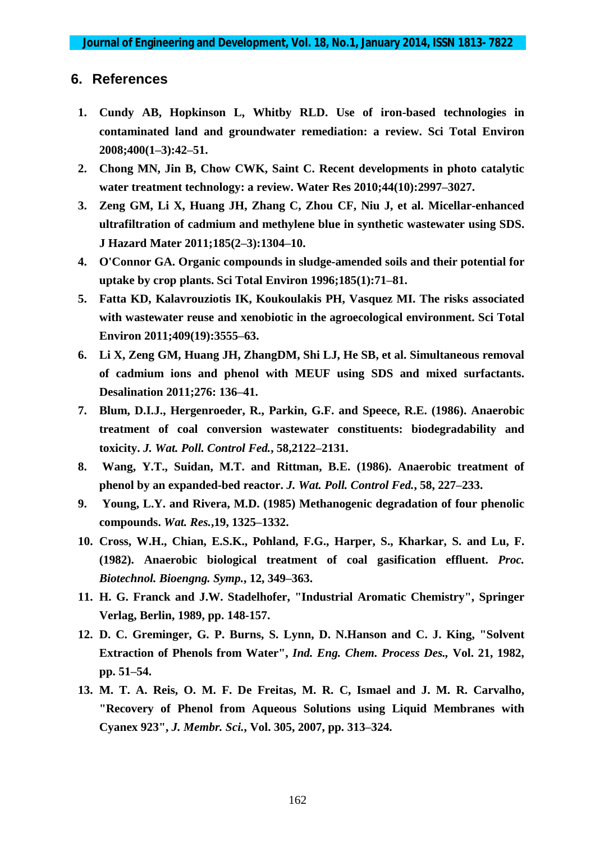# **6. References**

- **1. Cundy AB, Hopkinson L, Whitby RLD. Use of iron-based technologies in contaminated land and groundwater remediation: a review. Sci Total Environ 2008;400(1–3):42–51.**
- **2. Chong MN, Jin B, Chow CWK, Saint C. Recent developments in photo catalytic water treatment technology: a review. Water Res 2010;44(10):2997–3027.**
- **3. Zeng GM, Li X, Huang JH, Zhang C, Zhou CF, Niu J, et al. Micellar-enhanced ultrafiltration of cadmium and methylene blue in synthetic wastewater using SDS. J Hazard Mater 2011;185(2–3):1304–10.**
- **4. O'Connor GA. Organic compounds in sludge-amended soils and their potential for uptake by crop plants. Sci Total Environ 1996;185(1):71–81.**
- **5. Fatta KD, Kalavrouziotis IK, Koukoulakis PH, Vasquez MI. The risks associated with wastewater reuse and xenobiotic in the agroecological environment. Sci Total Environ 2011;409(19):3555–63.**
- **6. Li X, Zeng GM, Huang JH, ZhangDM, Shi LJ, He SB, et al. Simultaneous removal of cadmium ions and phenol with MEUF using SDS and mixed surfactants. Desalination 2011;276: 136–41.**
- **7. Blum, D.I.J., Hergenroeder, R., Parkin, G.F. and Speece, R.E. (1986). Anaerobic treatment of coal conversion wastewater constituents: biodegradability and toxicity.** *J. Wat. Poll. Control Fed.***, 58,2122–2131.**
- **8. Wang, Y.T., Suidan, M.T. and Rittman, B.E. (1986). Anaerobic treatment of phenol by an expanded-bed reactor.** *J. Wat. Poll. Control Fed.***, 58, 227–233.**
- **9. Young, L.Y. and Rivera, M.D. (1985) Methanogenic degradation of four phenolic compounds.** *Wat. Res.***,19, 1325–1332.**
- **10. Cross, W.H., Chian, E.S.K., Pohland, F.G., Harper, S., Kharkar, S. and Lu, F. (1982). Anaerobic biological treatment of coal gasification effluent.** *Proc. Biotechnol. Bioengng. Symp.***, 12, 349–363.**
- **11. H. G. Franck and J.W. Stadelhofer, "Industrial Aromatic Chemistry", Springer Verlag, Berlin, 1989, pp. 148-157.**
- **12. D. C. Greminger, G. P. Burns, S. Lynn, D. N.Hanson and C. J. King, "Solvent Extraction of Phenols from Water",** *Ind. Eng. Chem. Process Des.,* **Vol. 21, 1982, pp. 51–54.**
- **13. M. T. A. Reis, O. M. F. De Freitas, M. R. C, Ismael and J. M. R. Carvalho, "Recovery of Phenol from Aqueous Solutions using Liquid Membranes with Cyanex 923",** *J. Membr. Sci.***, Vol. 305, 2007, pp. 313–324.**